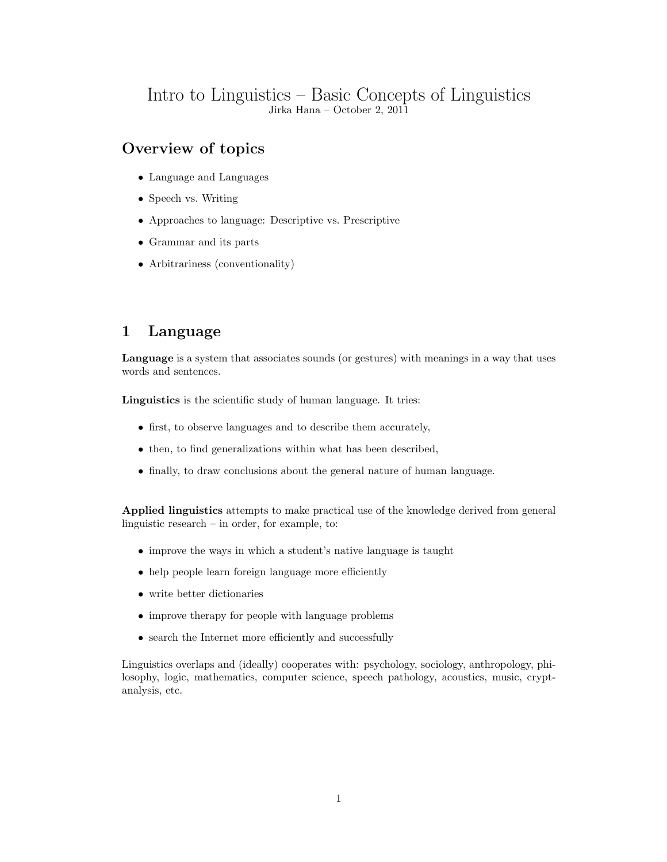## Intro to Linguistics – Basic Concepts of Linguistics Jirka Hana – October 2, 2011

# Overview of topics

- Language and Languages
- Speech vs. Writing
- Approaches to language: Descriptive vs. Prescriptive
- Grammar and its parts
- Arbitrariness (conventionality)

# 1 Language

Language is a system that associates sounds (or gestures) with meanings in a way that uses words and sentences.

Linguistics is the scientific study of human language. It tries:

- first, to observe languages and to describe them accurately,
- then, to find generalizations within what has been described,
- finally, to draw conclusions about the general nature of human language.

Applied linguistics attempts to make practical use of the knowledge derived from general linguistic research – in order, for example, to:

- improve the ways in which a student's native language is taught
- help people learn foreign language more efficiently
- write better dictionaries
- improve therapy for people with language problems
- search the Internet more efficiently and successfully

Linguistics overlaps and (ideally) cooperates with: psychology, sociology, anthropology, philosophy, logic, mathematics, computer science, speech pathology, acoustics, music, cryptanalysis, etc.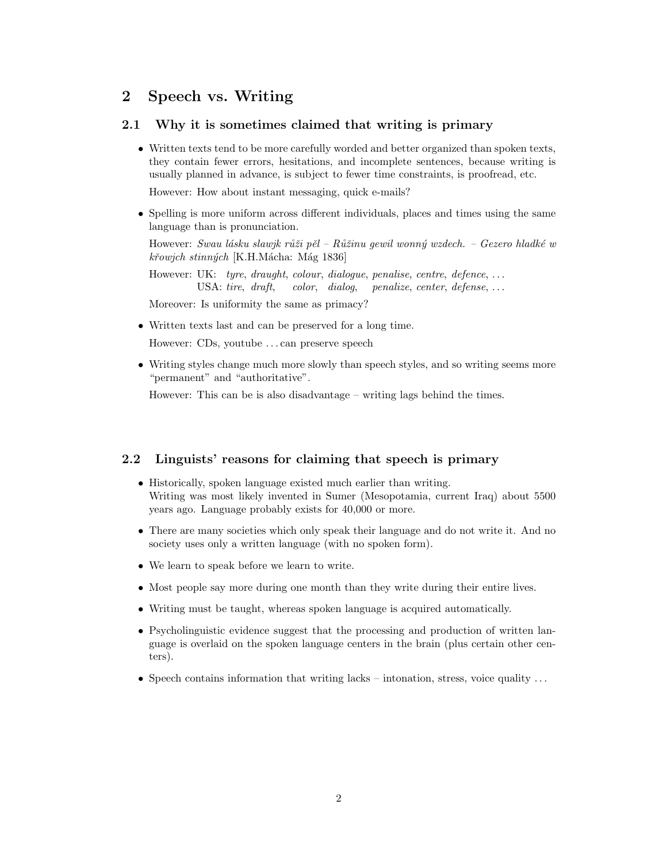## 2 Speech vs. Writing

### 2.1 Why it is sometimes claimed that writing is primary

• Written texts tend to be more carefully worded and better organized than spoken texts, they contain fewer errors, hesitations, and incomplete sentences, because writing is usually planned in advance, is subject to fewer time constraints, is proofread, etc.

However: How about instant messaging, quick e-mails?

• Spelling is more uniform across different individuals, places and times using the same language than is pronunciation.

However: Swau lásku slawjk růži pěl – Růžinu gewil wonný wzdech. – Gezero hladké w křowjch stinných [K.H.Mácha: Mág 1836]

However: UK: tyre, draught, colour, dialogue, penalise, centre, defence, ... USA: tire, draft, color, dialog, penalize, center, defense, ...

Moreover: Is uniformity the same as primacy?

• Written texts last and can be preserved for a long time.

However: CDs, youtube . . . can preserve speech

• Writing styles change much more slowly than speech styles, and so writing seems more "permanent" and "authoritative".

However: This can be is also disadvantage – writing lags behind the times.

### 2.2 Linguists' reasons for claiming that speech is primary

- Historically, spoken language existed much earlier than writing. Writing was most likely invented in Sumer (Mesopotamia, current Iraq) about 5500 years ago. Language probably exists for 40,000 or more.
- There are many societies which only speak their language and do not write it. And no society uses only a written language (with no spoken form).
- We learn to speak before we learn to write.
- Most people say more during one month than they write during their entire lives.
- Writing must be taught, whereas spoken language is acquired automatically.
- Psycholinguistic evidence suggest that the processing and production of written language is overlaid on the spoken language centers in the brain (plus certain other centers).
- Speech contains information that writing lacks intonation, stress, voice quality  $\dots$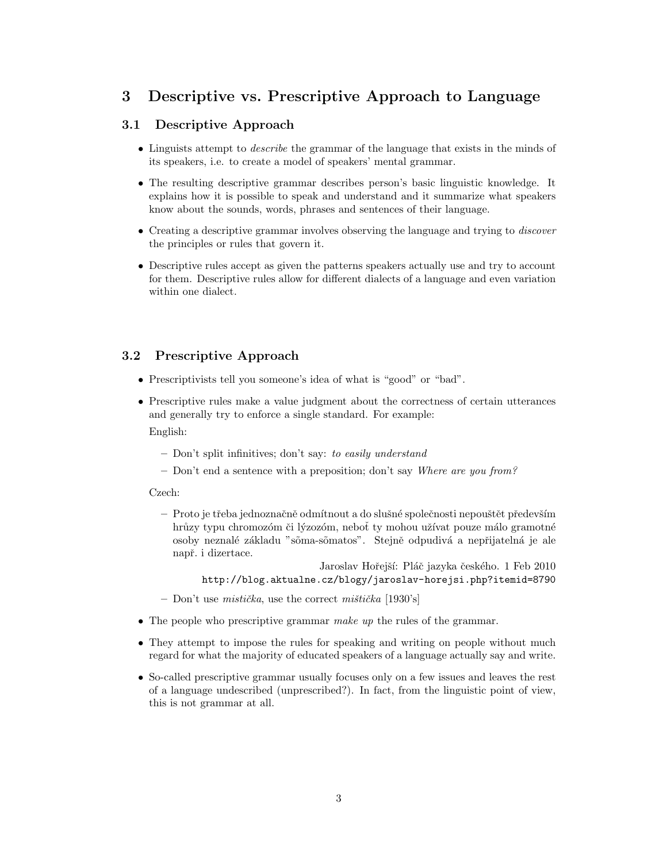## 3 Descriptive vs. Prescriptive Approach to Language

## 3.1 Descriptive Approach

- Linguists attempt to *describe* the grammar of the language that exists in the minds of its speakers, i.e. to create a model of speakers' mental grammar.
- The resulting descriptive grammar describes person's basic linguistic knowledge. It explains how it is possible to speak and understand and it summarize what speakers know about the sounds, words, phrases and sentences of their language.
- Creating a descriptive grammar involves observing the language and trying to *discover* the principles or rules that govern it.
- Descriptive rules accept as given the patterns speakers actually use and try to account for them. Descriptive rules allow for different dialects of a language and even variation within one dialect.

### 3.2 Prescriptive Approach

- Prescriptivists tell you someone's idea of what is "good" or "bad".
- Prescriptive rules make a value judgment about the correctness of certain utterances and generally try to enforce a single standard. For example: English:
	- Don't split infinitives; don't say: to easily understand
	- Don't end a sentence with a preposition; don't say Where are you from?

#### Czech:

- Proto je tˇreba jednoznaˇcnˇe odm´ıtnout a do sluˇsn´e spoleˇcnosti nepouˇstˇet pˇredevˇs´ım hrůzy typu chromozóm či lýzozóm, neboť ty mohou užívat pouze málo gramotné osoby neznalé základu "sõma-sõmatos". Stejně odpudivá a nepřijatelná je ale např. i dizertace.
	- Jaroslav Hořejší: Pláč jazyka českého. 1 Feb 2010 http://blog.aktualne.cz/blogy/jaroslav-horejsi.php?itemid=8790
- Don't use mistička, use the correct mištička [1930's]
- The people who prescriptive grammar make up the rules of the grammar.
- They attempt to impose the rules for speaking and writing on people without much regard for what the majority of educated speakers of a language actually say and write.
- So-called prescriptive grammar usually focuses only on a few issues and leaves the rest of a language undescribed (unprescribed?). In fact, from the linguistic point of view, this is not grammar at all.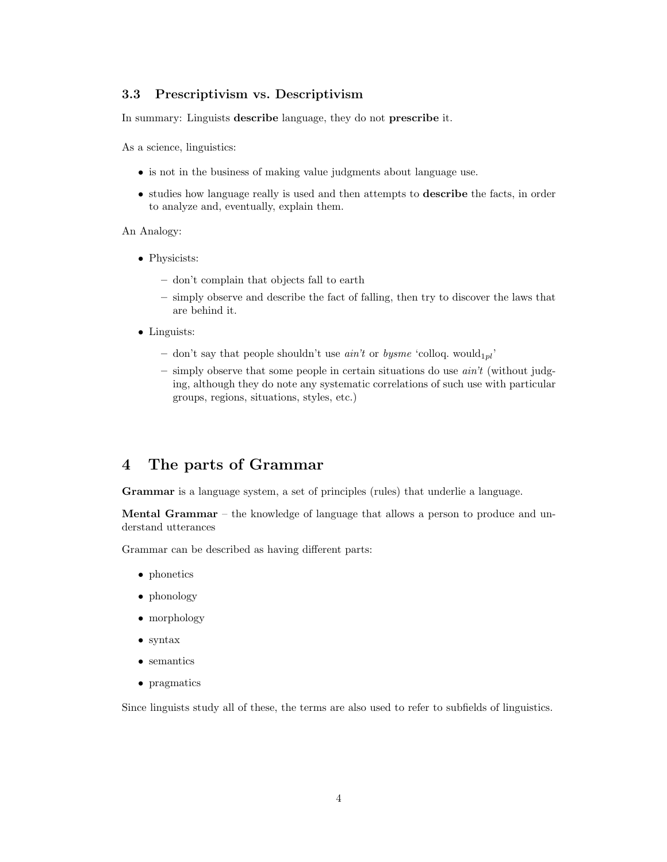#### 3.3 Prescriptivism vs. Descriptivism

In summary: Linguists describe language, they do not prescribe it.

As a science, linguistics:

- is not in the business of making value judgments about language use.
- studies how language really is used and then attempts to describe the facts, in order to analyze and, eventually, explain them.

#### An Analogy:

- Physicists:
	- don't complain that objects fall to earth
	- simply observe and describe the fact of falling, then try to discover the laws that are behind it.
- Linguists:
	- don't say that people shouldn't use  $ain't$  or  $bysme$  'colloq. would<sub>1pl</sub>'
	- $-$  simply observe that some people in certain situations do use  $ain't$  (without judging, although they do note any systematic correlations of such use with particular groups, regions, situations, styles, etc.)

# 4 The parts of Grammar

Grammar is a language system, a set of principles (rules) that underlie a language.

Mental Grammar – the knowledge of language that allows a person to produce and understand utterances

Grammar can be described as having different parts:

- phonetics
- phonology
- morphology
- syntax
- semantics
- pragmatics

Since linguists study all of these, the terms are also used to refer to subfields of linguistics.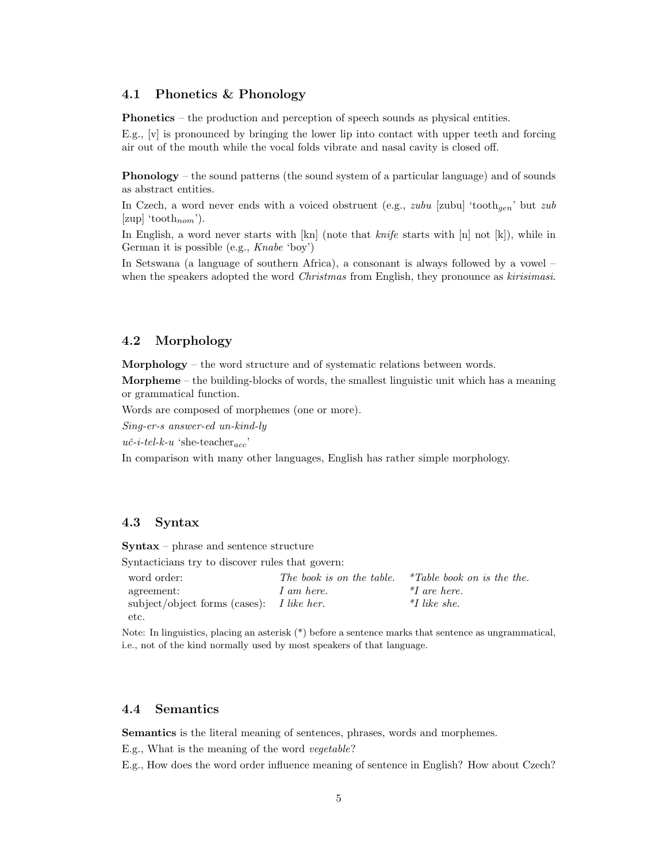#### 4.1 Phonetics & Phonology

Phonetics – the production and perception of speech sounds as physical entities.

E.g.,  $[v]$  is pronounced by bringing the lower lip into contact with upper teeth and forcing air out of the mouth while the vocal folds vibrate and nasal cavity is closed off.

Phonology – the sound patterns (the sound system of a particular language) and of sounds as abstract entities.

In Czech, a word never ends with a voiced obstruent (e.g., zubu [zubu] 'tooth<sub>gen</sub>' but zub [zup] 'tooth<sub>nom</sub>').

In English, a word never starts with  $\lfloor kn \rfloor$  (note that *knife* starts with  $\lfloor n \rfloor$  not  $\lfloor k \rfloor$ ), while in German it is possible (e.g., Knabe 'boy')

In Setswana (a language of southern Africa), a consonant is always followed by a vowel – when the speakers adopted the word *Christmas* from English, they pronounce as *kirisimasi*.

### 4.2 Morphology

Morphology – the word structure and of systematic relations between words.

Morpheme – the building-blocks of words, the smallest linguistic unit which has a meaning or grammatical function.

Words are composed of morphemes (one or more).

Sing-er-s answer-ed un-kind-ly

 $u\check{c}-i-tel-k-u$  'she-teacher<sub>acc</sub>'

In comparison with many other languages, English has rather simple morphology.

### 4.3 Syntax

Syntax – phrase and sentence structure

Syntacticians try to discover rules that govern:

| word order:                               | The book is on the table. | $*Table$ book on is the the. |
|-------------------------------------------|---------------------------|------------------------------|
| agreement:                                | 1 am here.                | $*I$ are here.               |
| subject/object forms (cases): I like her. |                           | $*$ <i>I</i> like she.       |
| etc.                                      |                           |                              |

Note: In linguistics, placing an asterisk (\*) before a sentence marks that sentence as ungrammatical, i.e., not of the kind normally used by most speakers of that language.

#### 4.4 Semantics

Semantics is the literal meaning of sentences, phrases, words and morphemes. E.g., What is the meaning of the word vegetable?

E.g., How does the word order influence meaning of sentence in English? How about Czech?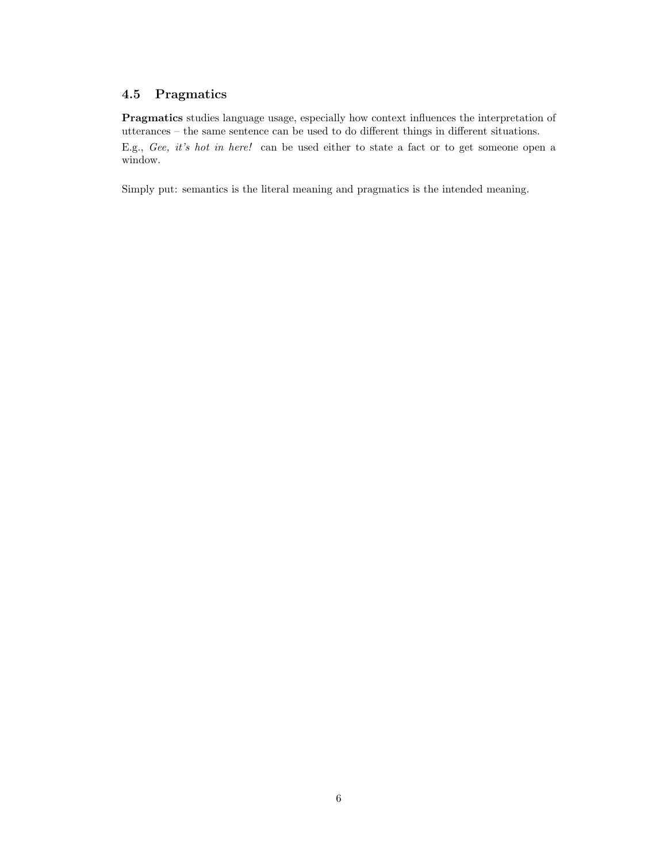## 4.5 Pragmatics

Pragmatics studies language usage, especially how context influences the interpretation of utterances – the same sentence can be used to do different things in different situations. E.g., Gee, it's hot in here! can be used either to state a fact or to get someone open a window.

Simply put: semantics is the literal meaning and pragmatics is the intended meaning.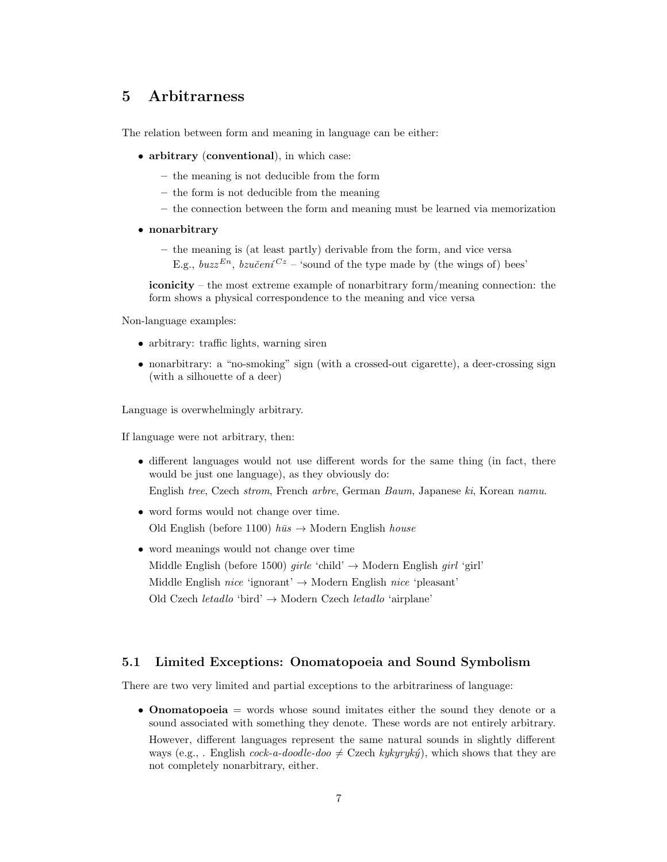## 5 Arbitrarness

The relation between form and meaning in language can be either:

- arbitrary (conventional), in which case:
	- the meaning is not deducible from the form
	- the form is not deducible from the meaning
	- the connection between the form and meaning must be learned via memorization
- nonarbitrary
	- the meaning is (at least partly) derivable from the form, and vice versa E.g.,  $buzz^{En}$ ,  $bzučení^{Cz}$  – 'sound of the type made by (the wings of) bees'

iconicity – the most extreme example of nonarbitrary form/meaning connection: the form shows a physical correspondence to the meaning and vice versa

Non-language examples:

- arbitrary: traffic lights, warning siren
- nonarbitrary: a "no-smoking" sign (with a crossed-out cigarette), a deer-crossing sign (with a silhouette of a deer)

Language is overwhelmingly arbitrary.

If language were not arbitrary, then:

• different languages would not use different words for the same thing (in fact, there would be just one language), as they obviously do:

English tree, Czech strom, French arbre, German Baum, Japanese ki, Korean namu.

- word forms would not change over time. Old English (before 1100)  $h\bar{u}s \rightarrow \text{Modern English house}$
- word meanings would not change over time Middle English (before 1500) *girle* 'child'  $\rightarrow$  Modern English *girl* 'girl' Middle English nice 'ignorant'  $\rightarrow$  Modern English nice 'pleasant' Old Czech *letadlo* 'bird'  $\rightarrow$  Modern Czech *letadlo* 'airplane'

#### 5.1 Limited Exceptions: Onomatopoeia and Sound Symbolism

There are two very limited and partial exceptions to the arbitrariness of language:

• **Onomatopoeia** = words whose sound imitates either the sound they denote or a sound associated with something they denote. These words are not entirely arbitrary.

However, different languages represent the same natural sounds in slightly different ways (e.g., . English cock-a-doodle-doo  $\neq$  Czech kykyryký), which shows that they are not completely nonarbitrary, either.